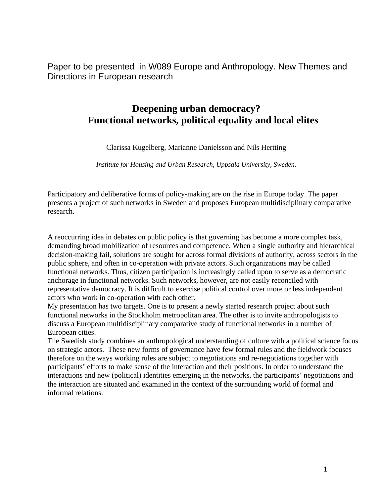Paper to be presented in W089 Europe and Anthropology. New Themes and Directions in European research

# **Deepening urban democracy? Functional networks, political equality and local elites**

Clarissa Kugelberg, Marianne Danielsson and Nils Hertting

*Institute for Housing and Urban Research, Uppsala University, Sweden.* 

Participatory and deliberative forms of policy-making are on the rise in Europe today. The paper presents a project of such networks in Sweden and proposes European multidisciplinary comparative research.

A reoccurring idea in debates on public policy is that governing has become a more complex task, demanding broad mobilization of resources and competence. When a single authority and hierarchical decision-making fail, solutions are sought for across formal divisions of authority, across sectors in the public sphere, and often in co-operation with private actors. Such organizations may be called functional networks. Thus, citizen participation is increasingly called upon to serve as a democratic anchorage in functional networks. Such networks, however, are not easily reconciled with representative democracy. It is difficult to exercise political control over more or less independent actors who work in co-operation with each other.

My presentation has two targets. One is to present a newly started research project about such functional networks in the Stockholm metropolitan area. The other is to invite anthropologists to discuss a European multidisciplinary comparative study of functional networks in a number of European cities.

The Swedish study combines an anthropological understanding of culture with a political science focus on strategic actors. These new forms of governance have few formal rules and the fieldwork focuses therefore on the ways working rules are subject to negotiations and re-negotiations together with participants' efforts to make sense of the interaction and their positions. In order to understand the interactions and new (political) identities emerging in the networks, the participants' negotiations and the interaction are situated and examined in the context of the surrounding world of formal and informal relations.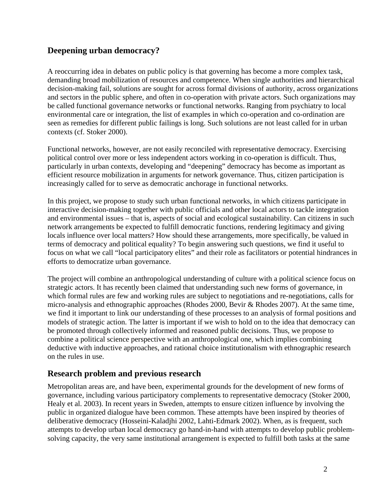## **Deepening urban democracy?**

A reoccurring idea in debates on public policy is that governing has become a more complex task, demanding broad mobilization of resources and competence. When single authorities and hierarchical decision-making fail, solutions are sought for across formal divisions of authority, across organizations and sectors in the public sphere, and often in co-operation with private actors. Such organizations may be called functional governance networks or functional networks. Ranging from psychiatry to local environmental care or integration, the list of examples in which co-operation and co-ordination are seen as remedies for different public failings is long. Such solutions are not least called for in urban contexts (cf. Stoker 2000).

Functional networks, however, are not easily reconciled with representative democracy. Exercising political control over more or less independent actors working in co-operation is difficult. Thus, particularly in urban contexts, developing and "deepening" democracy has become as important as efficient resource mobilization in arguments for network governance. Thus, citizen participation is increasingly called for to serve as democratic anchorage in functional networks.

In this project, we propose to study such urban functional networks, in which citizens participate in interactive decision-making together with public officials and other local actors to tackle integration and environmental issues – that is, aspects of social and ecological sustainability. Can citizens in such network arrangements be expected to fulfill democratic functions, rendering legitimacy and giving locals influence over local matters? How should these arrangements, more specifically, be valued in terms of democracy and political equality? To begin answering such questions, we find it useful to focus on what we call "local participatory elites" and their role as facilitators or potential hindrances in efforts to democratize urban governance.

The project will combine an anthropological understanding of culture with a political science focus on strategic actors. It has recently been claimed that understanding such new forms of governance, in which formal rules are few and working rules are subject to negotiations and re-negotiations, calls for micro-analysis and ethnographic approaches (Rhodes 2000, Bevir & Rhodes 2007). At the same time, we find it important to link our understanding of these processes to an analysis of formal positions and models of strategic action. The latter is important if we wish to hold on to the idea that democracy can be promoted through collectively informed and reasoned public decisions. Thus, we propose to combine a political science perspective with an anthropological one, which implies combining deductive with inductive approaches, and rational choice institutionalism with ethnographic research on the rules in use.

### **Research problem and previous research**

Metropolitan areas are, and have been, experimental grounds for the development of new forms of governance, including various participatory complements to representative democracy (Stoker 2000, Healy et al. 2003). In recent years in Sweden, attempts to ensure citizen influence by involving the public in organized dialogue have been common. These attempts have been inspired by theories of deliberative democracy (Hosseini-Kaladjhi 2002, Lahti-Edmark 2002). When, as is frequent, such attempts to develop urban local democracy go hand-in-hand with attempts to develop public problemsolving capacity, the very same institutional arrangement is expected to fulfill both tasks at the same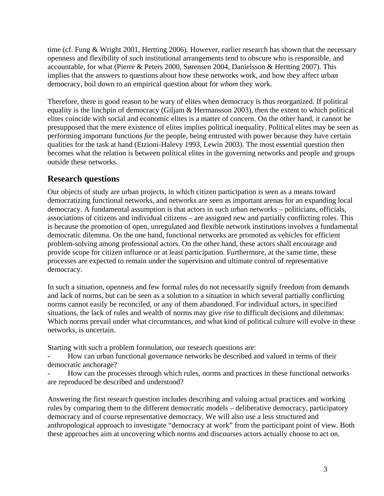time (cf. Fung & Wright 2001, Hertting 2006). However, earlier research has shown that the necessary openness and flexibility of such institutional arrangements tend to obscure who is responsible, and accountable, for what (Pierre & Peters 2000, Sørensen 2004, Danielsson & Hertting 2007). This implies that the answers to questions about how these networks work, and how they affect urban democracy, boil down to an empirical question about for *whom* they work.

Therefore, there is good reason to be wary of elites when democracy is thus reorganized. If political equality is the linchpin of democracy (Giljam & Hermansson 2003), then the extent to which political elites coincide with social and economic elites is a matter of concern. On the other hand, it cannot be presupposed that the mere existence of elites implies political inequality. Political elites may be seen as performing important functions *for* the people, being entrusted with power because they have certain qualities for the task at hand (Etzioni-Halevy 1993, Lewin 2003). The most essential question then becomes what the relation is between political elites in the governing networks and people and groups outside these networks.

### **Research questions**

Our objects of study are urban projects, in which citizen participation is seen as a means toward democratizing functional networks, and networks are seen as important arenas for an expanding local democracy. A fundamental assumption is that actors in such urban networks – politicians, officials, associations of citizens and individual citizens – are assigned new and partially conflicting roles. This is because the promotion of open, unregulated and flexible network institutions involves a fundamental democratic dilemma. On the one hand, functional networks are promoted as vehicles for efficient problem-solving among professional actors. On the other hand, these actors shall encourage and provide scope for citizen influence or at least participation. Furthermore, at the same time, these processes are expected to remain under the supervision and ultimate control of representative democracy.

In such a situation, openness and few formal rules do not necessarily signify freedom from demands and lack of norms, but can be seen as a solution to a situation in which several partially conflicting norms cannot easily be reconciled, or any of them abandoned. For individual actors, in specified situations, the lack of rules and wealth of norms may give rise to difficult decisions and dilemmas: Which norms prevail under what circumstances, and what kind of political culture will evolve in these networks, is uncertain.

Starting with such a problem formulation, our research questions are:

- How can urban functional governance networks be described and valued in terms of their democratic anchorage?

How can the processes through which rules, norms and practices in these functional networks are reproduced be described and understood?

Answering the first research question includes describing and valuing actual practices and working rules by comparing them to the different democratic models – deliberative democracy, participatory democracy and of course representative democracy. We will also use a less structured and anthropological approach to investigate "democracy at work" from the participant point of view. Both these approaches aim at uncovering which norms and discourses actors actually choose to act on.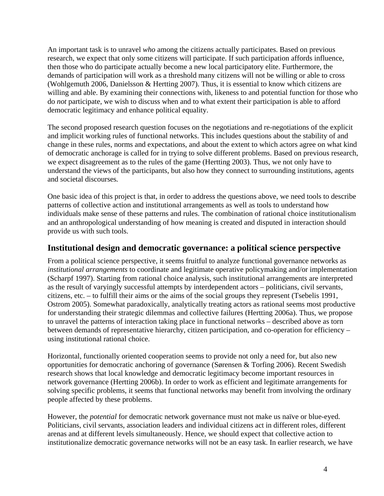An important task is to unravel *who* among the citizens actually participates. Based on previous research, we expect that only some citizens will participate. If such participation affords influence, then those who do participate actually become a new local participatory elite. Furthermore, the demands of participation will work as a threshold many citizens will not be willing or able to cross (Wohlgemuth 2006, Danielsson & Hertting 2007). Thus, it is essential to know which citizens are willing and able. By examining their connections with, likeness to and potential function for those who do *not* participate, we wish to discuss when and to what extent their participation is able to afford democratic legitimacy and enhance political equality.

The second proposed research question focuses on the negotiations and re-negotiations of the explicit and implicit working rules of functional networks. This includes questions about the stability of and change in these rules, norms and expectations, and about the extent to which actors agree on what kind of democratic anchorage is called for in trying to solve different problems. Based on previous research, we expect disagreement as to the rules of the game (Hertting 2003). Thus, we not only have to understand the views of the participants, but also how they connect to surrounding institutions, agents and societal discourses*.* 

One basic idea of this project is that, in order to address the questions above, we need tools to describe patterns of collective action and institutional arrangements as well as tools to understand how individuals make sense of these patterns and rules. The combination of rational choice institutionalism and an anthropological understanding of how meaning is created and disputed in interaction should provide us with such tools.

#### **Institutional design and democratic governance: a political science perspective**

From a political science perspective, it seems fruitful to analyze functional governance networks as *institutional arrangements* to coordinate and legitimate operative policymaking and/or implementation (Scharpf 1997). Starting from rational choice analysis, such institutional arrangements are interpreted as the result of varyingly successful attempts by interdependent actors – politicians, civil servants, citizens, etc. – to fulfill their aims or the aims of the social groups they represent (Tsebelis 1991, Ostrom 2005). Somewhat paradoxically, analytically treating actors as rational seems most productive for understanding their strategic dilemmas and collective failures (Hertting 2006a). Thus, we propose to unravel the patterns of interaction taking place in functional networks – described above as torn between demands of representative hierarchy, citizen participation, and co-operation for efficiency – using institutional rational choice.

Horizontal, functionally oriented cooperation seems to provide not only a need for, but also new opportunities for democratic anchoring of governance (Sørensen & Torfing 2006). Recent Swedish research shows that local knowledge and democratic legitimacy become important resources in network governance (Hertting 2006b). In order to work as efficient and legitimate arrangements for solving specific problems, it seems that functional networks may benefit from involving the ordinary people affected by these problems.

However, the *potential* for democratic network governance must not make us naïve or blue-eyed. Politicians, civil servants, association leaders and individual citizens act in different roles, different arenas and at different levels simultaneously. Hence, we should expect that collective action to institutionalize democratic governance networks will not be an easy task. In earlier research, we have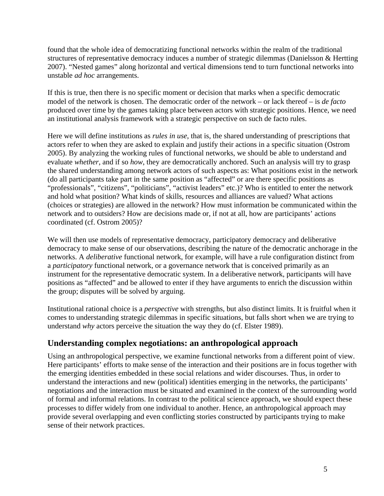found that the whole idea of democratizing functional networks within the realm of the traditional structures of representative democracy induces a number of strategic dilemmas (Danielsson & Hertting 2007). "Nested games" along horizontal and vertical dimensions tend to turn functional networks into unstable *ad hoc* arrangements.

If this is true, then there is no specific moment or decision that marks when a specific democratic model of the network is chosen. The democratic order of the network – or lack thereof – is *de facto*  produced over time by the games taking place between actors with strategic positions. Hence, we need an institutional analysis framework with a strategic perspective on such de facto rules.

Here we will define institutions as *rules in use*, that is, the shared understanding of prescriptions that actors refer to when they are asked to explain and justify their actions in a specific situation (Ostrom 2005). By analyzing the working rules of functional networks, we should be able to understand and evaluate *whether*, and if so *how*, they are democratically anchored. Such an analysis will try to grasp the shared understanding among network actors of such aspects as: What positions exist in the network (do all participants take part in the same position as "affected" or are there specific positions as "professionals", "citizens", "politicians", "activist leaders" etc.)? Who is entitled to enter the network and hold what position? What kinds of skills, resources and alliances are valued? What actions (choices or strategies) are allowed in the network? How must information be communicated within the network and to outsiders? How are decisions made or, if not at all, how are participants' actions coordinated (cf. Ostrom 2005)?

We will then use models of representative democracy, participatory democracy and deliberative democracy to make sense of our observations, describing the nature of the democratic anchorage in the networks. A *deliberative* functional network, for example, will have a rule configuration distinct from a *participatory* functional network, or a governance network that is conceived primarily as an instrument for the representative democratic system. In a deliberative network, participants will have positions as "affected" and be allowed to enter if they have arguments to enrich the discussion within the group; disputes will be solved by arguing.

Institutional rational choice is a *perspective* with strengths, but also distinct limits. It is fruitful when it comes to understanding strategic dilemmas in specific situations, but falls short when we are trying to understand *why* actors perceive the situation the way they do (cf. Elster 1989).

### **Understanding complex negotiations: an anthropological approach**

Using an anthropological perspective, we examine functional networks from a different point of view. Here participants' efforts to make sense of the interaction and their positions are in focus together with the emerging identities embedded in these social relations and wider discourses. Thus, in order to understand the interactions and new (political) identities emerging in the networks, the participants' negotiations and the interaction must be situated and examined in the context of the surrounding world of formal and informal relations. In contrast to the political science approach, we should expect these processes to differ widely from one individual to another. Hence, an anthropological approach may provide several overlapping and even conflicting stories constructed by participants trying to make sense of their network practices.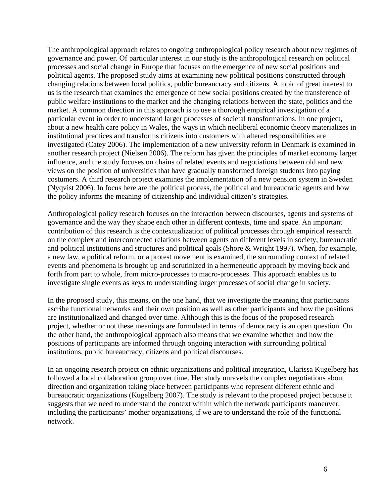The anthropological approach relates to ongoing anthropological policy research about new regimes of governance and power. Of particular interest in our study is the anthropological research on political processes and social change in Europe that focuses on the emergence of new social positions and political agents. The proposed study aims at examining new political positions constructed through changing relations between local politics, public bureaucracy and citizens. A topic of great interest to us is the research that examines the emergence of new social positions created by the transference of public welfare institutions to the market and the changing relations between the state, politics and the market. A common direction in this approach is to use a thorough empirical investigation of a particular event in order to understand larger processes of societal transformations. In one project, about a new health care policy in Wales, the ways in which neoliberal economic theory materializes in institutional practices and transforms citizens into customers with altered responsibilities are investigated (Catey 2006). The implementation of a new university reform in Denmark is examined in another research project (Nielsen 2006). The reform has given the principles of market economy larger influence, and the study focuses on chains of related events and negotiations between old and new views on the position of universities that have gradually transformed foreign students into paying costumers. A third research project examines the implementation of a new pension system in Sweden (Nyqvist 2006). In focus here are the political process, the political and bureaucratic agents and how the policy informs the meaning of citizenship and individual citizen's strategies.

Anthropological policy research focuses on the interaction between discourses, agents and systems of governance and the way they shape each other in different contexts, time and space. An important contribution of this research is the contextualization of political processes through empirical research on the complex and interconnected relations between agents on different levels in society, bureaucratic and political institutions and structures and political goals (Shore & Wright 1997). When, for example, a new law, a political reform, or a protest movement is examined, the surrounding context of related events and phenomena is brought up and scrutinized in a hermeneutic approach by moving back and forth from part to whole, from micro-processes to macro-processes. This approach enables us to investigate single events as keys to understanding larger processes of social change in society.

In the proposed study, this means, on the one hand, that we investigate the meaning that participants ascribe functional networks and their own position as well as other participants and how the positions are institutionalized and changed over time. Although this is the focus of the proposed research project, whether or not these meanings are formulated in terms of democracy is an open question. On the other hand, the anthropological approach also means that we examine whether and how the positions of participants are informed through ongoing interaction with surrounding political institutions, public bureaucracy, citizens and political discourses.

In an ongoing research project on ethnic organizations and political integration, Clarissa Kugelberg has followed a local collaboration group over time. Her study unravels the complex negotiations about direction and organization taking place between participants who represent different ethnic and bureaucratic organizations (Kugelberg 2007). The study is relevant to the proposed project because it suggests that we need to understand the context within which the network participants maneuver, including the participants' mother organizations, if we are to understand the role of the functional network.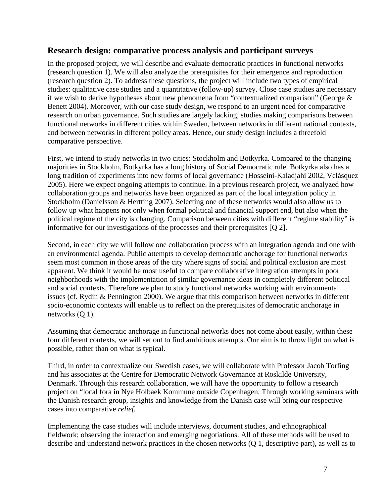### **Research design: comparative process analysis and participant surveys**

In the proposed project, we will describe and evaluate democratic practices in functional networks (research question 1). We will also analyze the prerequisites for their emergence and reproduction (research question 2). To address these questions, the project will include two types of empirical studies: qualitative case studies and a quantitative (follow-up) survey. Close case studies are necessary if we wish to derive hypotheses about new phenomena from "contextualized comparison" (George & Benett 2004). Moreover, with our case study design, we respond to an urgent need for comparative research on urban governance. Such studies are largely lacking, studies making comparisons between functional networks in different cities within Sweden, between networks in different national contexts, and between networks in different policy areas. Hence, our study design includes a threefold comparative perspective.

First, we intend to study networks in two cities: Stockholm and Botkyrka. Compared to the changing majorities in Stockholm, Botkyrka has a long history of Social Democratic rule. Botkyrka also has a long tradition of experiments into new forms of local governance (Hosseini-Kaladjahi 2002, Velásquez 2005). Here we expect ongoing attempts to continue. In a previous research project, we analyzed how collaboration groups and networks have been organized as part of the local integration policy in Stockholm (Danielsson & Hertting 2007). Selecting one of these networks would also allow us to follow up what happens not only when formal political and financial support end, but also when the political regime of the city is changing. Comparison between cities with different "regime stability" is informative for our investigations of the processes and their prerequisites [Q 2].

Second, in each city we will follow one collaboration process with an integration agenda and one with an environmental agenda. Public attempts to develop democratic anchorage for functional networks seem most common in those areas of the city where signs of social and political exclusion are most apparent. We think it would be most useful to compare collaborative integration attempts in poor neighborhoods with the implementation of similar governance ideas in completely different political and social contexts. Therefore we plan to study functional networks working with environmental issues (cf. Rydin & Pennington 2000). We argue that this comparison between networks in different socio-economic contexts will enable us to reflect on the prerequisites of democratic anchorage in networks (Q 1).

Assuming that democratic anchorage in functional networks does not come about easily, within these four different contexts, we will set out to find ambitious attempts. Our aim is to throw light on what is possible, rather than on what is typical.

Third, in order to contextualize our Swedish cases, we will collaborate with Professor Jacob Torfing and his associates at the Centre for Democratic Network Governance at Roskilde University, Denmark. Through this research collaboration, we will have the opportunity to follow a research project on "local fora in Nye Holbaek Kommune outside Copenhagen. Through working seminars with the Danish research group, insights and knowledge from the Danish case will bring our respective cases into comparative *relief*.

Implementing the case studies will include interviews, document studies, and ethnographical fieldwork; observing the interaction and emerging negotiations. All of these methods will be used to describe and understand network practices in the chosen networks (Q 1, descriptive part), as well as to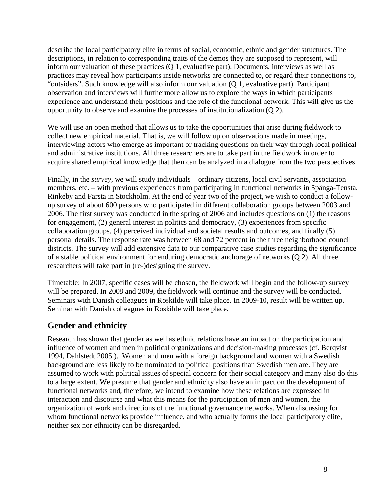describe the local participatory elite in terms of social, economic, ethnic and gender structures. The descriptions, in relation to corresponding traits of the demos they are supposed to represent, will inform our valuation of these practices (Q 1, evaluative part). Documents, interviews as well as practices may reveal how participants inside networks are connected to, or regard their connections to, "outsiders". Such knowledge will also inform our valuation (Q 1, evaluative part). Participant observation and interviews will furthermore allow us to explore the ways in which participants experience and understand their positions and the role of the functional network. This will give us the opportunity to observe and examine the processes of institutionalization (Q 2).

We will use an open method that allows us to take the opportunities that arise during fieldwork to collect new empirical material. That is, we will follow up on observations made in meetings, interviewing actors who emerge as important or tracking questions on their way through local political and administrative institutions. All three researchers are to take part in the fieldwork in order to acquire shared empirical knowledge that then can be analyzed in a dialogue from the two perspectives.

Finally, in the *survey*, we will study individuals – ordinary citizens, local civil servants, association members, etc. – with previous experiences from participating in functional networks in Spånga-Tensta, Rinkeby and Farsta in Stockholm. At the end of year two of the project, we wish to conduct a followup survey of about 600 persons who participated in different collaboration groups between 2003 and 2006. The first survey was conducted in the spring of 2006 and includes questions on (1) the reasons for engagement, (2) general interest in politics and democracy, (3) experiences from specific collaboration groups, (4) perceived individual and societal results and outcomes, and finally (5) personal details. The response rate was between 68 and 72 percent in the three neighborhood council districts. The survey will add extensive data to our comparative case studies regarding the significance of a stable political environment for enduring democratic anchorage of networks (Q 2). All three researchers will take part in (re-)designing the survey.

Timetable: In 2007, specific cases will be chosen, the fieldwork will begin and the follow-up survey will be prepared. In 2008 and 2009, the fieldwork will continue and the survey will be conducted. Seminars with Danish colleagues in Roskilde will take place. In 2009-10, result will be written up. Seminar with Danish colleagues in Roskilde will take place.

### **Gender and ethnicity**

Research has shown that gender as well as ethnic relations have an impact on the participation and influence of women and men in political organizations and decision-making processes (cf. Berqvist 1994, Dahlstedt 2005.). Women and men with a foreign background and women with a Swedish background are less likely to be nominated to political positions than Swedish men are. They are assumed to work with political issues of special concern for their social category and many also do this to a large extent. We presume that gender and ethnicity also have an impact on the development of functional networks and, therefore, we intend to examine how these relations are expressed in interaction and discourse and what this means for the participation of men and women, the organization of work and directions of the functional governance networks. When discussing for whom functional networks provide influence, and who actually forms the local participatory elite, neither sex nor ethnicity can be disregarded.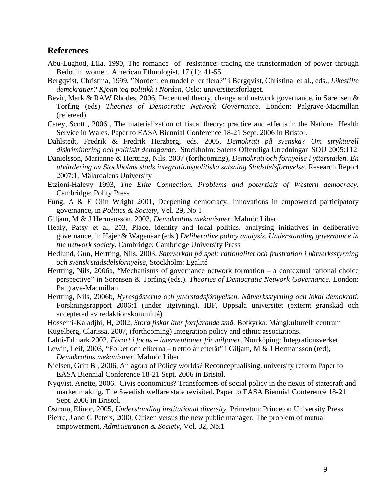#### **References**

- Abu-Lughod, Lila, 1990, The romance of resistance: tracing the transformation of power through Bedouin women. American Ethnologist, 17 (1): 41-55.
- Bergqvist, Christina, 1999, "Norden: en model eller flera?" i Bergqvist, Christina et al., eds., *Likestilte demokratier? Kjönn iog politikk i Norden*, Oslo: universitetsforlaget.
- Bevir, Mark & RAW Rhodes, 2006, Decentred theory, change and network governance. in Sørensen & Torfing (eds) *Theories of Democratic Network Governance.* London: Palgrave-Macmillan (refereed)
- Catey, Scott , 2006 , The materialization of fiscal theory: practice and effects in the National Health Service in Wales. Paper to EASA Biennial Conference 18-21 Sept. 2006 in Bristol.
- Dahlstedt, Fredrik & Fredrik Herzberg, eds. 2005, *Demokrati på svenska? Om strykturell diskriminering och politiskt deltagande.* Stockholm: Satens Offentliga Utredningar SOU 2005:112
- Danielsson, Marianne & Hertting, Nils. 2007 (forthcoming), *Demokrati och förnyelse i ytterstaden. En utvärdering av Stockholms stads integrationspolitiska satsning Stadsdelsförnyelse.* Research Report 2007:1, Mälardalens University
- Etzioni-Halevy 1993, *The Elite Connection. Problems and potentials of Western democracy.*  Cambridge: Polity Press
- Fung, A & E Olin Wright 2001, Deepening democracy: Innovations in empowered participatory governance, in *Politics & Society*, Vol. 29, No 1
- Giljam, M & J Hermansson, 2003, *Demokratins mekanismer.* Malmö: Liber
- Healy, Patsy et al, 203, Place, identity and local politics. analysing initiatives in deliberative governance, in Hajer & Wagenaar (eds.) *Deliberative policy analysis. Understanding governance in the network society.* Cambridge: Cambridge University Press
- Hedlund, Gun, Hertting, Nils, 2003, *Samverkan på spel: rationalitet och frustration i nätverksstyrning och svensk stadsdelsförnyelse*, Stockholm: Egalité
- Hertting, Nils, 2006a, "Mechanisms of governance network formation a contextual rational choice perspective" in Sorensen & Torfing (eds.). *Theories of Democratic Network Governance.* London: Palgrave-Macmillan
- Hertting, Nils, 2006b, *Hyresgästerna och ytterstadsförnyelsen. Nätverksstyrning och lokal demokrati*. Forskningsrapport 2006:1 (under utgivning). IBF, Uppsala universitet (externt granskad och accepterad av redaktionskommitté)
- Hosseini-Kaladjhi, H, 2002, *Stora fiskar äter fortfarande små.* Botkyrka: Mångkulturellt centrum

Kugelberg, Clarissa, 2007, (forthcoming) Integration policy and ethnic associations.

Lahti-Edmark 2002, *Förort i focus – interventioner för miljoner*. Norrköping: Integrationsverket

Lewin, Leif, 2003, "Folket och eliterna – trettio år efteråt" i Giljam, M & J Hermansson (red), *Demokratins mekanismer.* Malmö: Liber

- Nielsen, Gritt B , 2006, An agora of Policy worlds? Reconceptualising. university reform Paper to EASA Biennial Conference 18-21 Sept. 2006 in Bristol.
- Nyqvist, Anette, 2006. Civis economicus? Transformers of social policy in the nexus of statecraft and market making. The Swedish welfare state revisited. Paper to EASA Biennial Conference 18-21 Sept. 2006 in Bristol.
- Ostrom, Elinor, 2005, *Understanding institutional diversity.* Princeton: Princeton University Press
- Pierre, J and G Peters, 2000, Citizen versus the new public manager. The problem of mutual empowerment, *Administration & Society,* Vol. 32, No.1